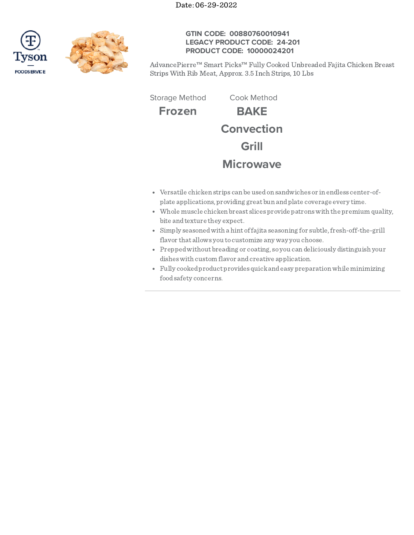



# **GTIN CODE: 00880760010941 LEGACY PRODUCT CODE: 24-201 PRODUCT CODE: 10000024201**

AdvancePierre™ Smart Picks™ Fully Cooked Unbreaded Fajita Chicken Breast Strips With Rib Meat, Approx. 3.5 Inch Strips, 10 Lbs

Storage Method Cook Method

**Frozen BAKE Convection Grill**

# **Microwave**

- Versatile chicken strips can be usedon sandwiches or in endless center-ofplate applications, providing great bun andplate coverage every time.
- Whole muscle chicken breast slices provide patronswith the premium quality, bite andtexture they expect.
- Simply seasoned with a hint of fajita seasoning for subtle, fresh-off-the-grill flavor that allows you to customize any way you choose.
- Preppedwithout breading or coating, so you can deliciously distinguish your disheswith custom flavor andcreative application.
- Fully cookedproduct provides quickandeasy preparationwhile minimizing foodsafety concerns.